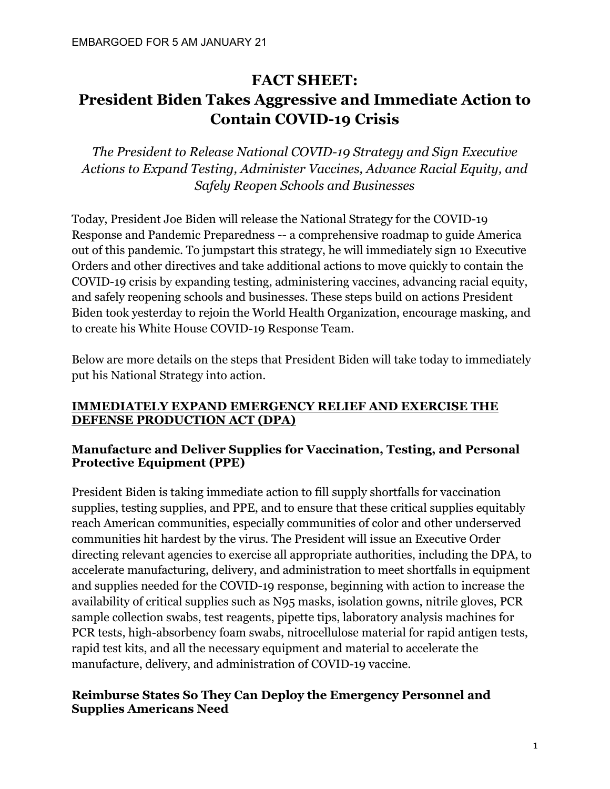# **FACT SHEET: President Biden Takes Aggressive and Immediate Action to Contain COVID-19 Crisis**

*The President to Release National COVID-19 Strategy and Sign Executive Actions to Expand Testing, Administer Vaccines, Advance Racial Equity, and Safely Reopen Schools and Businesses* 

Today, President Joe Biden will release the National Strategy for the COVID-19 Response and Pandemic Preparedness -- a comprehensive roadmap to guide America out of this pandemic. To jumpstart this strategy, he will immediately sign 10 Executive Orders and other directives and take additional actions to move quickly to contain the COVID-19 crisis by expanding testing, administering vaccines, advancing racial equity, and safely reopening schools and businesses. These steps build on actions President Biden took yesterday to rejoin the World Health Organization, encourage masking, and to create his White House COVID-19 Response Team.

Below are more details on the steps that President Biden will take today to immediately put his National Strategy into action.

### **IMMEDIATELY EXPAND EMERGENCY RELIEF AND EXERCISE THE DEFENSE PRODUCTION ACT (DPA)**

# **Manufacture and Deliver Supplies for Vaccination, Testing, and Personal Protective Equipment (PPE)**

President Biden is taking immediate action to fill supply shortfalls for vaccination supplies, testing supplies, and PPE, and to ensure that these critical supplies equitably reach American communities, especially communities of color and other underserved communities hit hardest by the virus. The President will issue an Executive Order directing relevant agencies to exercise all appropriate authorities, including the DPA, to accelerate manufacturing, delivery, and administration to meet shortfalls in equipment and supplies needed for the COVID-19 response, beginning with action to increase the availability of critical supplies such as N95 masks, isolation gowns, nitrile gloves, PCR sample collection swabs, test reagents, pipette tips, laboratory analysis machines for PCR tests, high-absorbency foam swabs, nitrocellulose material for rapid antigen tests, rapid test kits, and all the necessary equipment and material to accelerate the manufacture, delivery, and administration of COVID-19 vaccine.

### **Reimburse States So They Can Deploy the Emergency Personnel and Supplies Americans Need**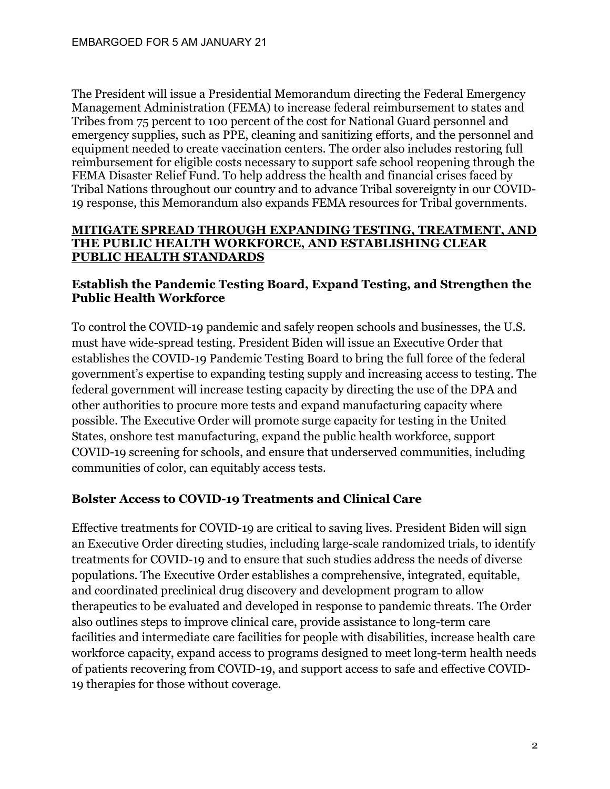The President will issue a Presidential Memorandum directing the Federal Emergency Management Administration (FEMA) to increase federal reimbursement to states and Tribes from 75 percent to 100 percent of the cost for National Guard personnel and emergency supplies, such as PPE, cleaning and sanitizing efforts, and the personnel and equipment needed to create vaccination centers. The order also includes restoring full reimbursement for eligible costs necessary to support safe school reopening through the FEMA Disaster Relief Fund. To help address the health and financial crises faced by Tribal Nations throughout our country and to advance Tribal sovereignty in our COVID-19 response, this Memorandum also expands FEMA resources for Tribal governments.

#### **MITIGATE SPREAD THROUGH EXPANDING TESTING, TREATMENT, AND THE PUBLIC HEALTH WORKFORCE, AND ESTABLISHING CLEAR PUBLIC HEALTH STANDARDS**

#### **Establish the Pandemic Testing Board, Expand Testing, and Strengthen the Public Health Workforce**

To control the COVID-19 pandemic and safely reopen schools and businesses, the U.S. must have wide-spread testing. President Biden will issue an Executive Order that establishes the COVID-19 Pandemic Testing Board to bring the full force of the federal government's expertise to expanding testing supply and increasing access to testing. The federal government will increase testing capacity by directing the use of the DPA and other authorities to procure more tests and expand manufacturing capacity where possible. The Executive Order will promote surge capacity for testing in the United States, onshore test manufacturing, expand the public health workforce, support COVID-19 screening for schools, and ensure that underserved communities, including communities of color, can equitably access tests.

# **Bolster Access to COVID-19 Treatments and Clinical Care**

Effective treatments for COVID-19 are critical to saving lives. President Biden will sign an Executive Order directing studies, including large-scale randomized trials, to identify treatments for COVID-19 and to ensure that such studies address the needs of diverse populations. The Executive Order establishes a comprehensive, integrated, equitable, and coordinated preclinical drug discovery and development program to allow therapeutics to be evaluated and developed in response to pandemic threats. The Order also outlines steps to improve clinical care, provide assistance to long-term care facilities and intermediate care facilities for people with disabilities, increase health care workforce capacity, expand access to programs designed to meet long-term health needs of patients recovering from COVID-19, and support access to safe and effective COVID-19 therapies for those without coverage.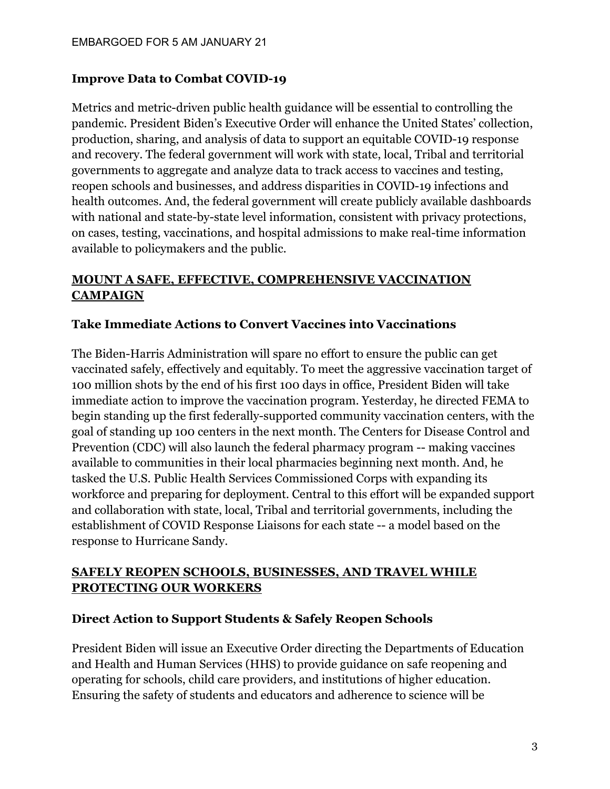# **Improve Data to Combat COVID-19**

Metrics and metric-driven public health guidance will be essential to controlling the pandemic. President Biden's Executive Order will enhance the United States' collection, production, sharing, and analysis of data to support an equitable COVID-19 response and recovery. The federal government will work with state, local, Tribal and territorial governments to aggregate and analyze data to track access to vaccines and testing, reopen schools and businesses, and address disparities in COVID-19 infections and health outcomes. And, the federal government will create publicly available dashboards with national and state-by-state level information, consistent with privacy protections, on cases, testing, vaccinations, and hospital admissions to make real-time information available to policymakers and the public.

# **MOUNT A SAFE, EFFECTIVE, COMPREHENSIVE VACCINATION CAMPAIGN**

# **Take Immediate Actions to Convert Vaccines into Vaccinations**

The Biden-Harris Administration will spare no effort to ensure the public can get vaccinated safely, effectively and equitably. To meet the aggressive vaccination target of 100 million shots by the end of his first 100 days in office, President Biden will take immediate action to improve the vaccination program. Yesterday, he directed FEMA to begin standing up the first federally-supported community vaccination centers, with the goal of standing up 100 centers in the next month. The Centers for Disease Control and Prevention (CDC) will also launch the federal pharmacy program -- making vaccines available to communities in their local pharmacies beginning next month. And, he tasked the U.S. Public Health Services Commissioned Corps with expanding its workforce and preparing for deployment. Central to this effort will be expanded support and collaboration with state, local, Tribal and territorial governments, including the establishment of COVID Response Liaisons for each state -- a model based on the response to Hurricane Sandy.

# **SAFELY REOPEN SCHOOLS, BUSINESSES, AND TRAVEL WHILE PROTECTING OUR WORKERS**

# **Direct Action to Support Students & Safely Reopen Schools**

President Biden will issue an Executive Order directing the Departments of Education and Health and Human Services (HHS) to provide guidance on safe reopening and operating for schools, child care providers, and institutions of higher education. Ensuring the safety of students and educators and adherence to science will be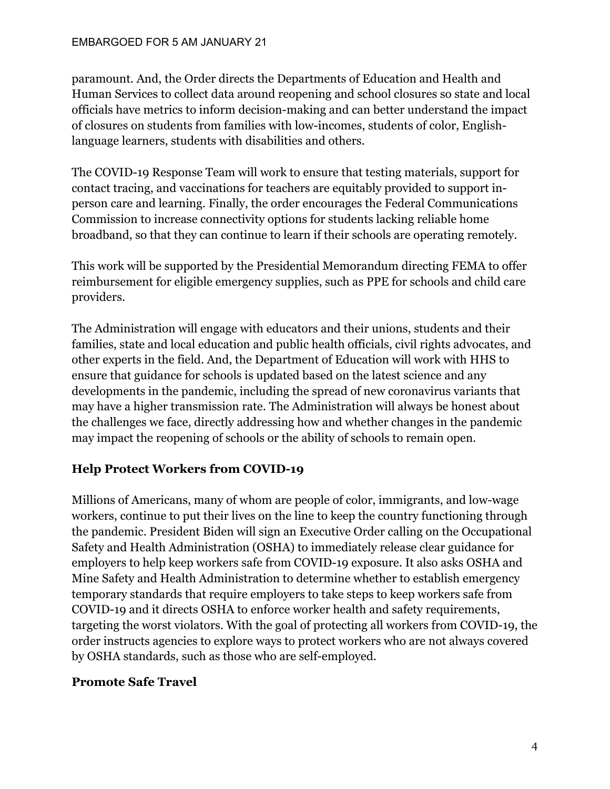paramount. And, the Order directs the Departments of Education and Health and Human Services to collect data around reopening and school closures so state and local officials have metrics to inform decision-making and can better understand the impact of closures on students from families with low-incomes, students of color, Englishlanguage learners, students with disabilities and others.

The COVID-19 Response Team will work to ensure that testing materials, support for contact tracing, and vaccinations for teachers are equitably provided to support inperson care and learning. Finally, the order encourages the Federal Communications Commission to increase connectivity options for students lacking reliable home broadband, so that they can continue to learn if their schools are operating remotely.

This work will be supported by the Presidential Memorandum directing FEMA to offer reimbursement for eligible emergency supplies, such as PPE for schools and child care providers.

The Administration will engage with educators and their unions, students and their families, state and local education and public health officials, civil rights advocates, and other experts in the field. And, the Department of Education will work with HHS to ensure that guidance for schools is updated based on the latest science and any developments in the pandemic, including the spread of new coronavirus variants that may have a higher transmission rate. The Administration will always be honest about the challenges we face, directly addressing how and whether changes in the pandemic may impact the reopening of schools or the ability of schools to remain open.

# **Help Protect Workers from COVID-19**

Millions of Americans, many of whom are people of color, immigrants, and low-wage workers, continue to put their lives on the line to keep the country functioning through the pandemic. President Biden will sign an Executive Order calling on the Occupational Safety and Health Administration (OSHA) to immediately release clear guidance for employers to help keep workers safe from COVID-19 exposure. It also asks OSHA and Mine Safety and Health Administration to determine whether to establish emergency temporary standards that require employers to take steps to keep workers safe from COVID-19 and it directs OSHA to enforce worker health and safety requirements, targeting the worst violators. With the goal of protecting all workers from COVID-19, the order instructs agencies to explore ways to protect workers who are not always covered by OSHA standards, such as those who are self-employed.

# **Promote Safe Travel**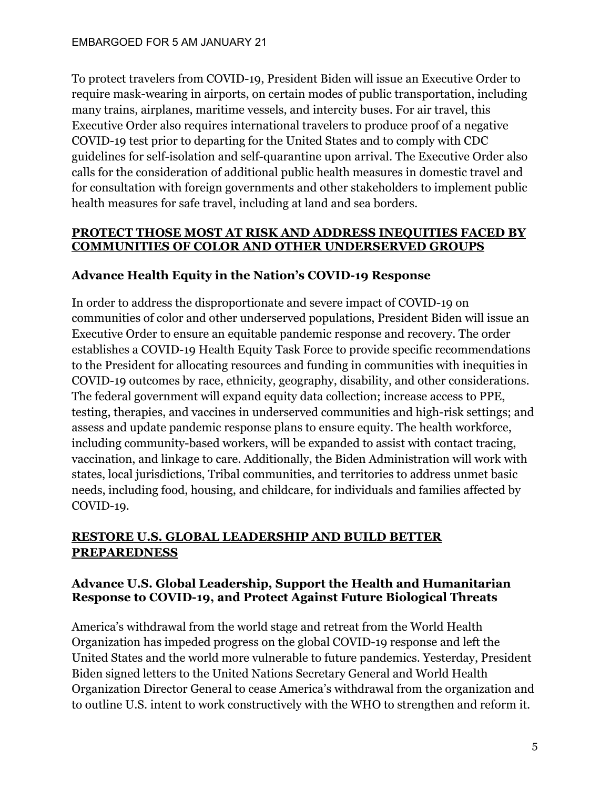To protect travelers from COVID-19, President Biden will issue an Executive Order to require mask-wearing in airports, on certain modes of public transportation, including many trains, airplanes, maritime vessels, and intercity buses. For air travel, this Executive Order also requires international travelers to produce proof of a negative COVID-19 test prior to departing for the United States and to comply with CDC guidelines for self-isolation and self-quarantine upon arrival. The Executive Order also calls for the consideration of additional public health measures in domestic travel and for consultation with foreign governments and other stakeholders to implement public health measures for safe travel, including at land and sea borders.

### **PROTECT THOSE MOST AT RISK AND ADDRESS INEQUITIES FACED BY COMMUNITIES OF COLOR AND OTHER UNDERSERVED GROUPS**

# **Advance Health Equity in the Nation's COVID-19 Response**

In order to address the disproportionate and severe impact of COVID-19 on communities of color and other underserved populations, President Biden will issue an Executive Order to ensure an equitable pandemic response and recovery. The order establishes a COVID-19 Health Equity Task Force to provide specific recommendations to the President for allocating resources and funding in communities with inequities in COVID-19 outcomes by race, ethnicity, geography, disability, and other considerations. The federal government will expand equity data collection; increase access to PPE, testing, therapies, and vaccines in underserved communities and high-risk settings; and assess and update pandemic response plans to ensure equity. The health workforce, including community-based workers, will be expanded to assist with contact tracing, vaccination, and linkage to care. Additionally, the Biden Administration will work with states, local jurisdictions, Tribal communities, and territories to address unmet basic needs, including food, housing, and childcare, for individuals and families affected by COVID-19.

# **RESTORE U.S. GLOBAL LEADERSHIP AND BUILD BETTER PREPAREDNESS**

# **Advance U.S. Global Leadership, Support the Health and Humanitarian Response to COVID-19, and Protect Against Future Biological Threats**

America's withdrawal from the world stage and retreat from the World Health Organization has impeded progress on the global COVID-19 response and left the United States and the world more vulnerable to future pandemics. Yesterday, President Biden signed letters to the United Nations Secretary General and World Health Organization Director General to cease America's withdrawal from the organization and to outline U.S. intent to work constructively with the WHO to strengthen and reform it.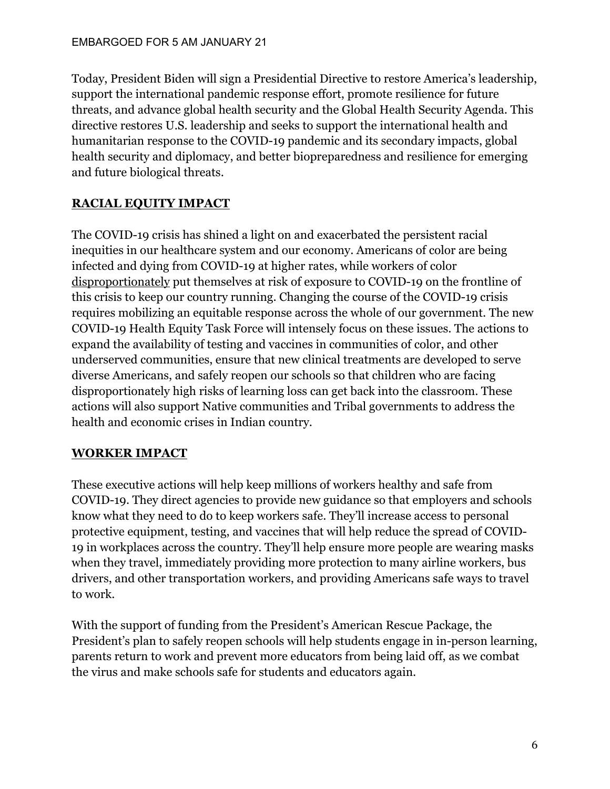Today, President Biden will sign a Presidential Directive to restore America's leadership, support the international pandemic response effort, promote resilience for future threats, and advance global health security and the Global Health Security Agenda. This directive restores U.S. leadership and seeks to support the international health and humanitarian response to the COVID-19 pandemic and its secondary impacts, global health security and diplomacy, and better biopreparedness and resilience for emerging and future biological threats.

# **RACIAL EQUITY IMPACT**

The COVID-19 crisis has shined a light on and exacerbated the persistent racial inequities in our healthcare system and our economy. Americans of color are being infected and dying from COVID-19 at higher rates, while workers of color [disproportionately](https://www.urban.org/research/publication/how-risk-exposure-coronavirus-work-varies-race-and-ethnicity-and-how-protect-health-and-well-being-workers-and-their-families) put themselves at risk of exposure to COVID-19 on the frontline of this crisis to keep our country running. Changing the course of the COVID-19 crisis requires mobilizing an equitable response across the whole of our government. The new COVID-19 Health Equity Task Force will intensely focus on these issues. The actions to expand the availability of testing and vaccines in communities of color, and other underserved communities, ensure that new clinical treatments are developed to serve diverse Americans, and safely reopen our schools so that children who are facing disproportionately high risks of learning loss can get back into the classroom. These actions will also support Native communities and Tribal governments to address the health and economic crises in Indian country.

# **WORKER IMPACT**

These executive actions will help keep millions of workers healthy and safe from COVID-19. They direct agencies to provide new guidance so that employers and schools know what they need to do to keep workers safe. They'll increase access to personal protective equipment, testing, and vaccines that will help reduce the spread of COVID-19 in workplaces across the country. They'll help ensure more people are wearing masks when they travel, immediately providing more protection to many airline workers, bus drivers, and other transportation workers, and providing Americans safe ways to travel to work.

With the support of funding from the President's American Rescue Package, the President's plan to safely reopen schools will help students engage in in-person learning, parents return to work and prevent more educators from being laid off, as we combat the virus and make schools safe for students and educators again.